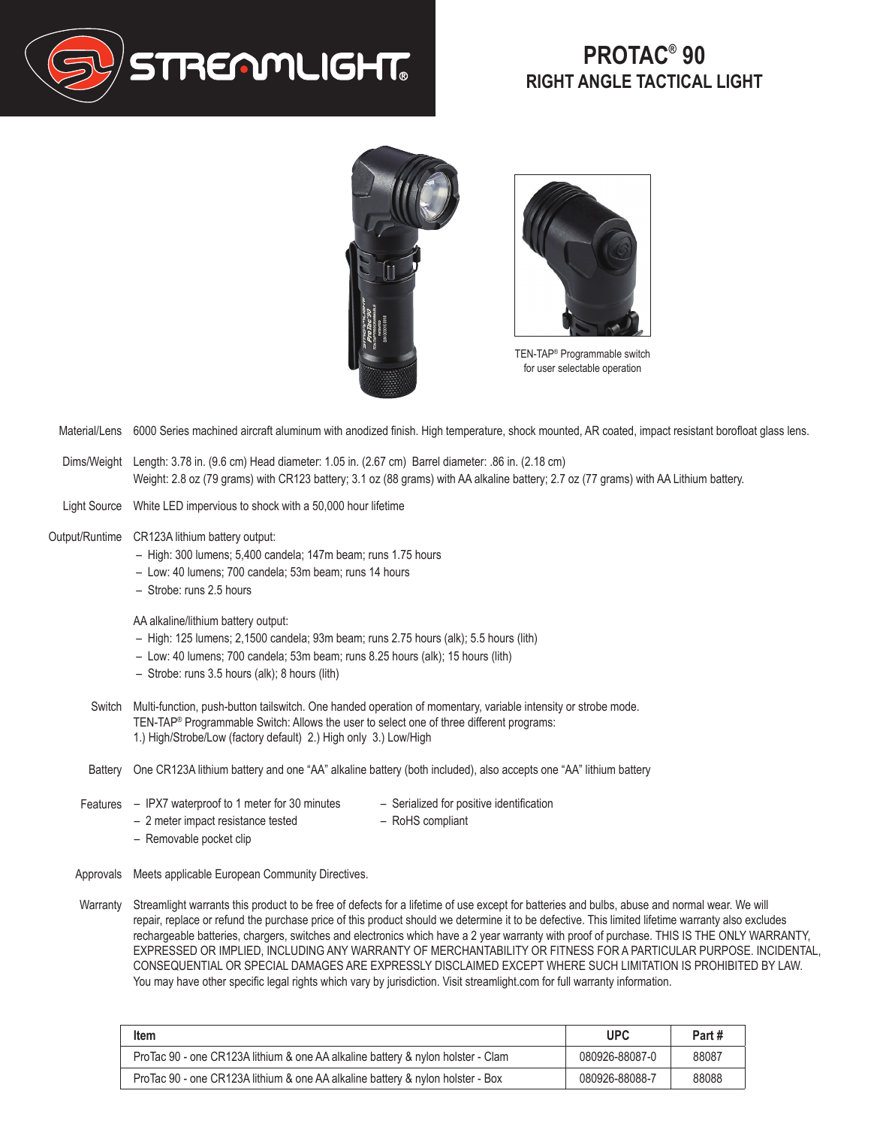

## **PROTAC® 90 RIGHT ANGLE TACTICAL LIGHT**





TEN-TAP® Programmable switch for user selectable operation

- Material/Lens 6000 Series machined aircraft aluminum with anodized finish. High temperature, shock mounted, AR coated, impact resistant borofloat glass lens.
- Dims/Weight Length: 3.78 in. (9.6 cm) Head diameter: 1.05 in. (2.67 cm) Barrel diameter: .86 in. (2.18 cm) Weight: 2.8 oz (79 grams) with CR123 battery; 3.1 oz (88 grams) with AA alkaline battery; 2.7 oz (77 grams) with AA Lithium battery.
- Light Source White LED impervious to shock with a 50,000 hour lifetime
- Output/Runtime CR123A lithium battery output:
	- High: 300 lumens; 5,400 candela; 147m beam; runs 1.75 hours
	- Low: 40 lumens; 700 candela; 53m beam; runs 14 hours
	- Strobe: runs 2.5 hours

AA alkaline/lithium battery output:

- High: 125 lumens; 2,1500 candela; 93m beam; runs 2.75 hours (alk); 5.5 hours (lith)
- Low: 40 lumens; 700 candela; 53m beam; runs 8.25 hours (alk); 15 hours (lith)
- Strobe: runs 3.5 hours (alk); 8 hours (lith)
- Switch Multi-function, push-button tailswitch. One handed operation of momentary, variable intensity or strobe mode. TEN-TAP® Programmable Switch: Allows the user to select one of three different programs: 1.) High/Strobe/Low (factory default) 2.) High only 3.) Low/High
- Battery One CR123A lithium battery and one "AA" alkaline battery (both included), also accepts one "AA" lithium battery
- Features IPX7 waterproof to 1 meter for 30 minutes
- Serialized for positive identification – RoHS compliant
- 2 meter impact resistance tested – Removable pocket clip
- Approvals Meets applicable European Community Directives.
- Warranty Streamlight warrants this product to be free of defects for a lifetime of use except for batteries and bulbs, abuse and normal wear. We will repair, replace or refund the purchase price of this product should we determine it to be defective. This limited lifetime warranty also excludes rechargeable batteries, chargers, switches and electronics which have a 2 year warranty with proof of purchase. THIS IS THE ONLY WARRANTY, EXPRESSED OR IMPLIED, INCLUDING ANY WARRANTY OF MERCHANTABILITY OR FITNESS FOR A PARTICULAR PURPOSE. INCIDENTAL, CONSEQUENTIAL OR SPECIAL DAMAGES ARE EXPRESSLY DISCLAIMED EXCEPT WHERE SUCH LIMITATION IS PROHIBITED BY LAW. You may have other specific legal rights which vary by jurisdiction. Visit streamlight.com for full warranty information.

| <b>Item</b>                                                                     | <b>UPC</b>     | Part# |
|---------------------------------------------------------------------------------|----------------|-------|
| ProTac 90 - one CR123A lithium & one AA alkaline battery & nylon holster - Clam | 080926-88087-0 | 88087 |
| ProTac 90 - one CR123A lithium & one AA alkaline battery & nylon holster - Box  | 080926-88088-7 | 88088 |